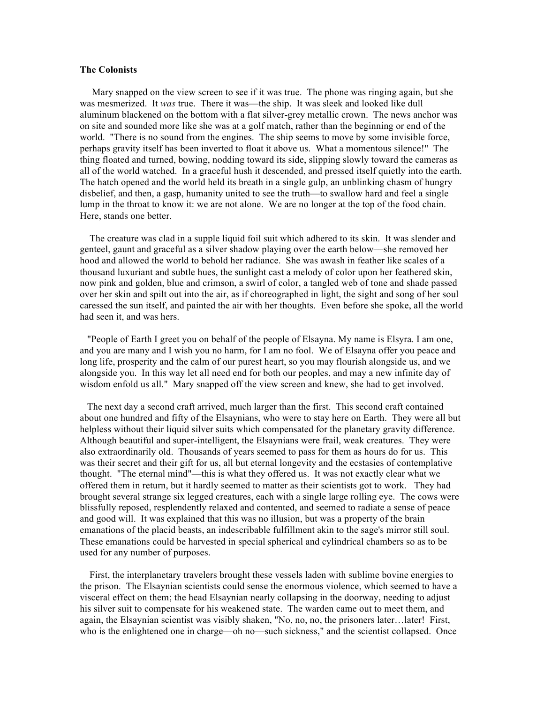## **The Colonists**

 Mary snapped on the view screen to see if it was true. The phone was ringing again, but she was mesmerized. It *was* true. There it was––the ship. It was sleek and looked like dull aluminum blackened on the bottom with a flat silver-grey metallic crown. The news anchor was on site and sounded more like she was at a golf match, rather than the beginning or end of the world. "There is no sound from the engines. The ship seems to move by some invisible force, perhaps gravity itself has been inverted to float it above us. What a momentous silence!" The thing floated and turned, bowing, nodding toward its side, slipping slowly toward the cameras as all of the world watched. In a graceful hush it descended, and pressed itself quietly into the earth. The hatch opened and the world held its breath in a single gulp, an unblinking chasm of hungry disbelief, and then, a gasp, humanity united to see the truth––to swallow hard and feel a single lump in the throat to know it: we are not alone. We are no longer at the top of the food chain. Here, stands one better.

 The creature was clad in a supple liquid foil suit which adhered to its skin. It was slender and genteel, gaunt and graceful as a silver shadow playing over the earth below––she removed her hood and allowed the world to behold her radiance. She was awash in feather like scales of a thousand luxuriant and subtle hues, the sunlight cast a melody of color upon her feathered skin, now pink and golden, blue and crimson, a swirl of color, a tangled web of tone and shade passed over her skin and spilt out into the air, as if choreographed in light, the sight and song of her soul caressed the sun itself, and painted the air with her thoughts. Even before she spoke, all the world had seen it, and was hers.

 "People of Earth I greet you on behalf of the people of Elsayna. My name is Elsyra. I am one, and you are many and I wish you no harm, for I am no fool. We of Elsayna offer you peace and long life, prosperity and the calm of our purest heart, so you may flourish alongside us, and we alongside you. In this way let all need end for both our peoples, and may a new infinite day of wisdom enfold us all." Mary snapped off the view screen and knew, she had to get involved.

 The next day a second craft arrived, much larger than the first. This second craft contained about one hundred and fifty of the Elsaynians, who were to stay here on Earth. They were all but helpless without their liquid silver suits which compensated for the planetary gravity difference. Although beautiful and super-intelligent, the Elsaynians were frail, weak creatures. They were also extraordinarily old. Thousands of years seemed to pass for them as hours do for us. This was their secret and their gift for us, all but eternal longevity and the ecstasies of contemplative thought. "The eternal mind"––this is what they offered us. It was not exactly clear what we offered them in return, but it hardly seemed to matter as their scientists got to work. They had brought several strange six legged creatures, each with a single large rolling eye. The cows were blissfully reposed, resplendently relaxed and contented, and seemed to radiate a sense of peace and good will. It was explained that this was no illusion, but was a property of the brain emanations of the placid beasts, an indescribable fulfillment akin to the sage's mirror still soul. These emanations could be harvested in special spherical and cylindrical chambers so as to be used for any number of purposes.

 First, the interplanetary travelers brought these vessels laden with sublime bovine energies to the prison. The Elsaynian scientists could sense the enormous violence, which seemed to have a visceral effect on them; the head Elsaynian nearly collapsing in the doorway, needing to adjust his silver suit to compensate for his weakened state. The warden came out to meet them, and again, the Elsaynian scientist was visibly shaken, "No, no, no, the prisoners later…later! First, who is the enlightened one in charge—oh no—such sickness," and the scientist collapsed. Once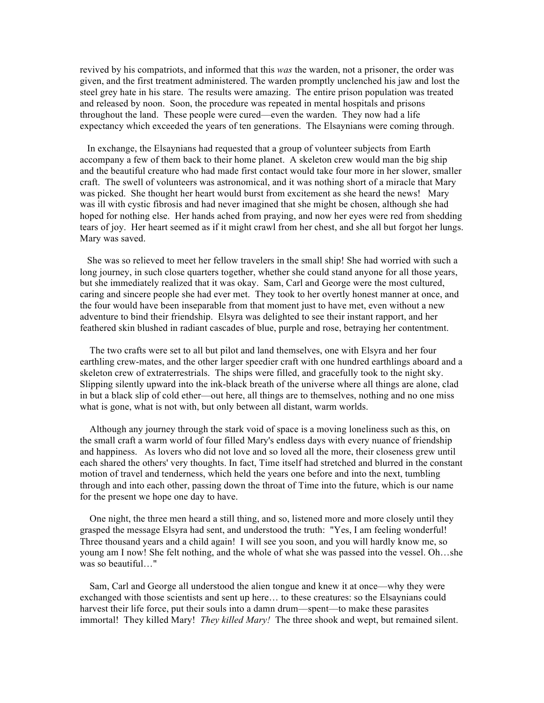revived by his compatriots, and informed that this *was* the warden, not a prisoner, the order was given, and the first treatment administered. The warden promptly unclenched his jaw and lost the steel grey hate in his stare. The results were amazing. The entire prison population was treated and released by noon. Soon, the procedure was repeated in mental hospitals and prisons throughout the land. These people were cured––even the warden. They now had a life expectancy which exceeded the years of ten generations. The Elsaynians were coming through.

 In exchange, the Elsaynians had requested that a group of volunteer subjects from Earth accompany a few of them back to their home planet. A skeleton crew would man the big ship and the beautiful creature who had made first contact would take four more in her slower, smaller craft. The swell of volunteers was astronomical, and it was nothing short of a miracle that Mary was picked. She thought her heart would burst from excitement as she heard the news! Mary was ill with cystic fibrosis and had never imagined that she might be chosen, although she had hoped for nothing else. Her hands ached from praying, and now her eyes were red from shedding tears of joy. Her heart seemed as if it might crawl from her chest, and she all but forgot her lungs. Mary was saved.

 She was so relieved to meet her fellow travelers in the small ship! She had worried with such a long journey, in such close quarters together, whether she could stand anyone for all those years, but she immediately realized that it was okay. Sam, Carl and George were the most cultured, caring and sincere people she had ever met. They took to her overtly honest manner at once, and the four would have been inseparable from that moment just to have met, even without a new adventure to bind their friendship. Elsyra was delighted to see their instant rapport, and her feathered skin blushed in radiant cascades of blue, purple and rose, betraying her contentment.

 The two crafts were set to all but pilot and land themselves, one with Elsyra and her four earthling crew-mates, and the other larger speedier craft with one hundred earthlings aboard and a skeleton crew of extraterrestrials. The ships were filled, and gracefully took to the night sky. Slipping silently upward into the ink-black breath of the universe where all things are alone, clad in but a black slip of cold ether––out here, all things are to themselves, nothing and no one miss what is gone, what is not with, but only between all distant, warm worlds.

 Although any journey through the stark void of space is a moving loneliness such as this, on the small craft a warm world of four filled Mary's endless days with every nuance of friendship and happiness. As lovers who did not love and so loved all the more, their closeness grew until each shared the others' very thoughts. In fact, Time itself had stretched and blurred in the constant motion of travel and tenderness, which held the years one before and into the next, tumbling through and into each other, passing down the throat of Time into the future, which is our name for the present we hope one day to have.

 One night, the three men heard a still thing, and so, listened more and more closely until they grasped the message Elsyra had sent, and understood the truth: "Yes, I am feeling wonderful! Three thousand years and a child again! I will see you soon, and you will hardly know me, so young am I now! She felt nothing, and the whole of what she was passed into the vessel. Oh…she was so beautiful…"

 Sam, Carl and George all understood the alien tongue and knew it at once––why they were exchanged with those scientists and sent up here… to these creatures: so the Elsaynians could harvest their life force, put their souls into a damn drum—spent—to make these parasites immortal! They killed Mary! *They killed Mary!* The three shook and wept, but remained silent.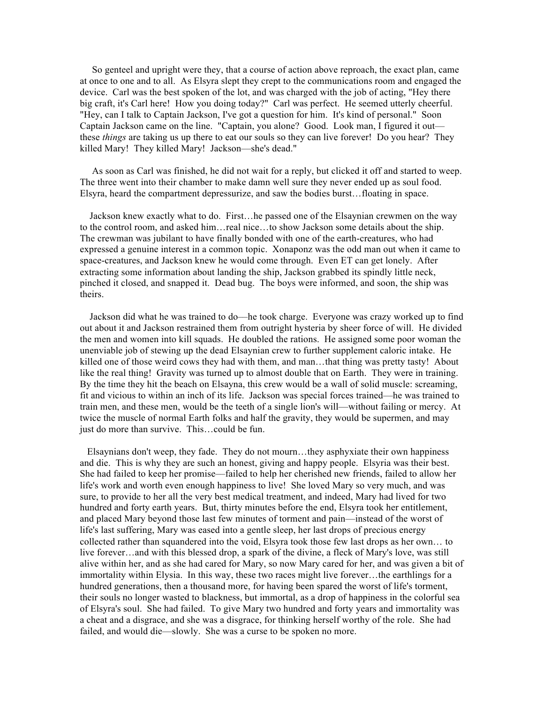So genteel and upright were they, that a course of action above reproach, the exact plan, came at once to one and to all. As Elsyra slept they crept to the communications room and engaged the device. Carl was the best spoken of the lot, and was charged with the job of acting, "Hey there big craft, it's Carl here! How you doing today?" Carl was perfect. He seemed utterly cheerful. "Hey, can I talk to Captain Jackson, I've got a question for him. It's kind of personal." Soon Captain Jackson came on the line. "Captain, you alone? Good. Look man, I figured it out–– these *things* are taking us up there to eat our souls so they can live forever! Do you hear? They killed Mary! They killed Mary! Jackson––she's dead."

 As soon as Carl was finished, he did not wait for a reply, but clicked it off and started to weep. The three went into their chamber to make damn well sure they never ended up as soul food. Elsyra, heard the compartment depressurize, and saw the bodies burst…floating in space.

 Jackson knew exactly what to do. First…he passed one of the Elsaynian crewmen on the way to the control room, and asked him…real nice…to show Jackson some details about the ship. The crewman was jubilant to have finally bonded with one of the earth-creatures, who had expressed a genuine interest in a common topic. Xonaponz was the odd man out when it came to space-creatures, and Jackson knew he would come through. Even ET can get lonely. After extracting some information about landing the ship, Jackson grabbed its spindly little neck, pinched it closed, and snapped it. Dead bug. The boys were informed, and soon, the ship was theirs.

 Jackson did what he was trained to do––he took charge. Everyone was crazy worked up to find out about it and Jackson restrained them from outright hysteria by sheer force of will. He divided the men and women into kill squads. He doubled the rations. He assigned some poor woman the unenviable job of stewing up the dead Elsaynian crew to further supplement caloric intake. He killed one of those weird cows they had with them, and man…that thing was pretty tasty! About like the real thing! Gravity was turned up to almost double that on Earth. They were in training. By the time they hit the beach on Elsayna, this crew would be a wall of solid muscle: screaming, fit and vicious to within an inch of its life. Jackson was special forces trained––he was trained to train men, and these men, would be the teeth of a single lion's will––without failing or mercy. At twice the muscle of normal Earth folks and half the gravity, they would be supermen, and may just do more than survive. This…could be fun.

 Elsaynians don't weep, they fade. They do not mourn…they asphyxiate their own happiness and die. This is why they are such an honest, giving and happy people. Elsyria was their best. She had failed to keep her promise––failed to help her cherished new friends, failed to allow her life's work and worth even enough happiness to live! She loved Mary so very much, and was sure, to provide to her all the very best medical treatment, and indeed, Mary had lived for two hundred and forty earth years. But, thirty minutes before the end, Elsyra took her entitlement, and placed Mary beyond those last few minutes of torment and pain––instead of the worst of life's last suffering, Mary was eased into a gentle sleep, her last drops of precious energy collected rather than squandered into the void, Elsyra took those few last drops as her own… to live forever…and with this blessed drop, a spark of the divine, a fleck of Mary's love, was still alive within her, and as she had cared for Mary, so now Mary cared for her, and was given a bit of immortality within Elysia. In this way, these two races might live forever…the earthlings for a hundred generations, then a thousand more, for having been spared the worst of life's torment, their souls no longer wasted to blackness, but immortal, as a drop of happiness in the colorful sea of Elsyra's soul. She had failed. To give Mary two hundred and forty years and immortality was a cheat and a disgrace, and she was a disgrace, for thinking herself worthy of the role. She had failed, and would die—slowly. She was a curse to be spoken no more.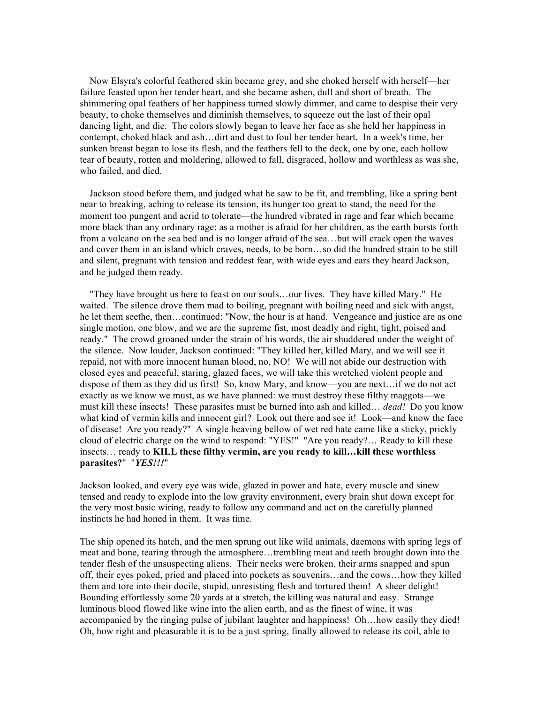Now Elsyra's colorful feathered skin became grey, and she choked herself with herself––her failure feasted upon her tender heart, and she became ashen, dull and short of breath. The shimmering opal feathers of her happiness turned slowly dimmer, and came to despise their very beauty, to choke themselves and diminish themselves, to squeeze out the last of their opal dancing light, and die. The colors slowly began to leave her face as she held her happiness in contempt, choked black and ash…dirt and dust to foul her tender heart. In a week's time, her sunken breast began to lose its flesh, and the feathers fell to the deck, one by one, each hollow tear of beauty, rotten and moldering, allowed to fall, disgraced, hollow and worthless as was she, who failed, and died.

 Jackson stood before them, and judged what he saw to be fit, and trembling, like a spring bent near to breaking, aching to release its tension, its hunger too great to stand, the need for the moment too pungent and acrid to tolerate––the hundred vibrated in rage and fear which became more black than any ordinary rage: as a mother is afraid for her children, as the earth bursts forth from a volcano on the sea bed and is no longer afraid of the sea…but will crack open the waves and cover them in an island which craves, needs, to be born…so did the hundred strain to be still and silent, pregnant with tension and reddest fear, with wide eyes and ears they heard Jackson, and he judged them ready.

 "They have brought us here to feast on our souls…our lives. They have killed Mary." He waited. The silence drove them mad to boiling, pregnant with boiling need and sick with angst, he let them seethe, then…continued: "Now, the hour is at hand. Vengeance and justice are as one single motion, one blow, and we are the supreme fist, most deadly and right, tight, poised and ready." The crowd groaned under the strain of his words, the air shuddered under the weight of the silence. Now louder, Jackson continued: "They killed her, killed Mary, and we will see it repaid, not with more innocent human blood, no, NO! We will not abide our destruction with closed eyes and peaceful, staring, glazed faces, we will take this wretched violent people and dispose of them as they did us first! So, know Mary, and know––you are next…if we do not act exactly as we know we must, as we have planned: we must destroy these filthy maggots—we must kill these insects! These parasites must be burned into ash and killed… *dead!* Do you know what kind of vermin kills and innocent girl? Look out there and see it! Look—and know the face of disease! Are you ready?" A single heaving bellow of wet red hate came like a sticky, prickly cloud of electric charge on the wind to respond: "YES!" "Are you ready?… Ready to kill these insects… ready to **KILL these filthy vermin, are you ready to kill…kill these worthless parasites?**" "*YES!!!*"

Jackson looked, and every eye was wide, glazed in power and hate, every muscle and sinew tensed and ready to explode into the low gravity environment, every brain shut down except for the very most basic wiring, ready to follow any command and act on the carefully planned instincts he had honed in them. It was time.

The ship opened its hatch, and the men sprung out like wild animals, daemons with spring legs of meat and bone, tearing through the atmosphere…trembling meat and teeth brought down into the tender flesh of the unsuspecting aliens. Their necks were broken, their arms snapped and spun off, their eyes poked, pried and placed into pockets as souvenirs…and the cows…how they killed them and tore into their docile, stupid, unresisting flesh and tortured them! A sheer delight! Bounding effortlessly some 20 yards at a stretch, the killing was natural and easy. Strange luminous blood flowed like wine into the alien earth, and as the finest of wine, it was accompanied by the ringing pulse of jubilant laughter and happiness! Oh…how easily they died! Oh, how right and pleasurable it is to be a just spring, finally allowed to release its coil, able to